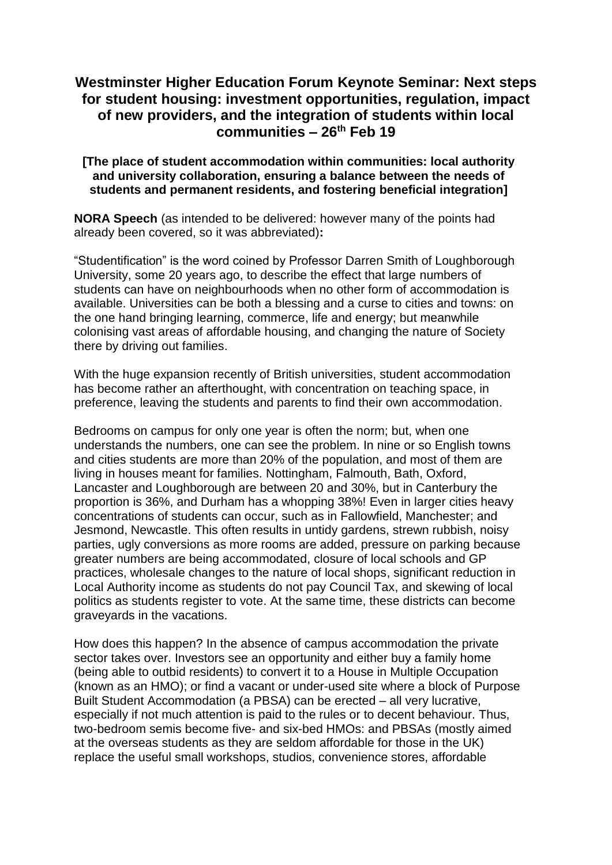## **Westminster Higher Education Forum Keynote Seminar: Next steps for student housing: investment opportunities, regulation, impact of new providers, and the integration of students within local communities – 26th Feb 19**

## **[The place of student accommodation within communities: local authority and university collaboration, ensuring a balance between the needs of students and permanent residents, and fostering beneficial integration]**

**NORA Speech** (as intended to be delivered: however many of the points had already been covered, so it was abbreviated)**:**

"Studentification" is the word coined by Professor Darren Smith of Loughborough University, some 20 years ago, to describe the effect that large numbers of students can have on neighbourhoods when no other form of accommodation is available. Universities can be both a blessing and a curse to cities and towns: on the one hand bringing learning, commerce, life and energy; but meanwhile colonising vast areas of affordable housing, and changing the nature of Society there by driving out families.

With the huge expansion recently of British universities, student accommodation has become rather an afterthought, with concentration on teaching space, in preference, leaving the students and parents to find their own accommodation.

Bedrooms on campus for only one year is often the norm; but, when one understands the numbers, one can see the problem. In nine or so English towns and cities students are more than 20% of the population, and most of them are living in houses meant for families. Nottingham, Falmouth, Bath, Oxford, Lancaster and Loughborough are between 20 and 30%, but in Canterbury the proportion is 36%, and Durham has a whopping 38%! Even in larger cities heavy concentrations of students can occur, such as in Fallowfield, Manchester; and Jesmond, Newcastle. This often results in untidy gardens, strewn rubbish, noisy parties, ugly conversions as more rooms are added, pressure on parking because greater numbers are being accommodated, closure of local schools and GP practices, wholesale changes to the nature of local shops, significant reduction in Local Authority income as students do not pay Council Tax, and skewing of local politics as students register to vote. At the same time, these districts can become graveyards in the vacations.

How does this happen? In the absence of campus accommodation the private sector takes over. Investors see an opportunity and either buy a family home (being able to outbid residents) to convert it to a House in Multiple Occupation (known as an HMO); or find a vacant or under-used site where a block of Purpose Built Student Accommodation (a PBSA) can be erected – all very lucrative, especially if not much attention is paid to the rules or to decent behaviour. Thus, two-bedroom semis become five- and six-bed HMOs: and PBSAs (mostly aimed at the overseas students as they are seldom affordable for those in the UK) replace the useful small workshops, studios, convenience stores, affordable